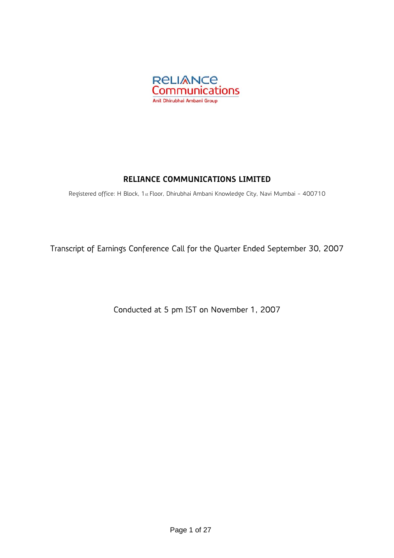

## **RELIANCE COMMUNICATIONS LIMITED**

Registered office: H Block, 1st Floor, Dhirubhai Ambani Knowledge City, Navi Mumbai - 400710

Transcript of Earnings Conference Call for the Quarter Ended September 30, 2007

Conducted at 5 pm IST on November 1, 2007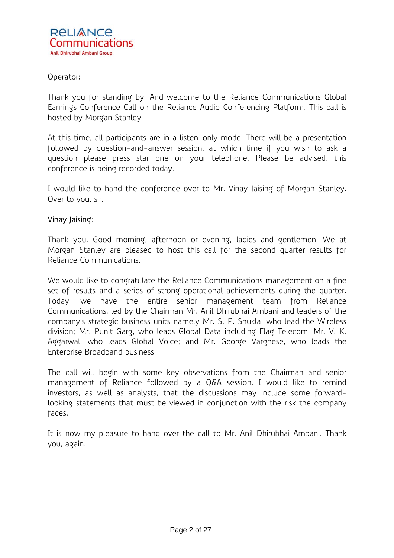## Operator:

Thank you for standing by. And welcome to the Reliance Communications Global Earnings Conference Call on the Reliance Audio Conferencing Platform. This call is hosted by Morgan Stanley.

At this time, all participants are in a listen-only mode. There will be a presentation followed by question-and-answer session, at which time if you wish to ask a question please press star one on your telephone. Please be advised, this conference is being recorded today.

I would like to hand the conference over to Mr. Vinay Jaising of Morgan Stanley. Over to you, sir.

### Vinay Jaising:

Thank you. Good morning, afternoon or evening, ladies and gentlemen. We at Morgan Stanley are pleased to host this call for the second quarter results for Reliance Communications.

We would like to congratulate the Reliance Communications management on a fine set of results and a series of strong operational achievements during the quarter. Today, we have the entire senior management team from Reliance Communications, led by the Chairman Mr. Anil Dhirubhai Ambani and leaders of the company's strategic business units namely Mr. S. P. Shukla, who lead the Wireless division; Mr. Punit Garg, who leads Global Data including Flag Telecom; Mr. V. K. Aggarwal, who leads Global Voice; and Mr. George Varghese, who leads the Enterprise Broadband business.

The call will begin with some key observations from the Chairman and senior management of Reliance followed by a Q&A session. I would like to remind investors, as well as analysts, that the discussions may include some forwardlooking statements that must be viewed in conjunction with the risk the company faces.

It is now my pleasure to hand over the call to Mr. Anil Dhirubhai Ambani. Thank you, again.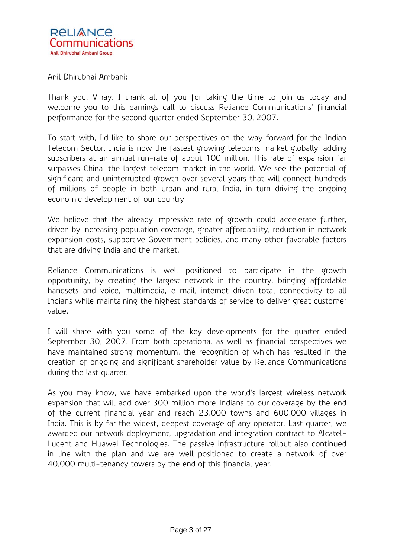

## Anil Dhirubhai Ambani:

Thank you, Vinay. I thank all of you for taking the time to join us today and welcome you to this earnings call to discuss Reliance Communications' financial performance for the second quarter ended September 30, 2007.

To start with, I'd like to share our perspectives on the way forward for the Indian Telecom Sector. India is now the fastest growing telecoms market globally, adding subscribers at an annual run-rate of about 100 million. This rate of expansion far surpasses China, the largest telecom market in the world. We see the potential of significant and uninterrupted growth over several years that will connect hundreds of millions of people in both urban and rural India, in turn driving the ongoing economic development of our country.

We believe that the already impressive rate of growth could accelerate further, driven by increasing population coverage, greater affordability, reduction in network expansion costs, supportive Government policies, and many other favorable factors that are driving India and the market.

Reliance Communications is well positioned to participate in the growth opportunity, by creating the largest network in the country, bringing affordable handsets and voice, multimedia, e-mail, internet driven total connectivity to all Indians while maintaining the highest standards of service to deliver great customer value.

I will share with you some of the key developments for the quarter ended September 30, 2007. From both operational as well as financial perspectives we have maintained strong momentum, the recognition of which has resulted in the creation of ongoing and significant shareholder value by Reliance Communications during the last quarter.

As you may know, we have embarked upon the world's largest wireless network expansion that will add over 300 million more Indians to our coverage by the end of the current financial year and reach 23,000 towns and 600,000 villages in India. This is by far the widest, deepest coverage of any operator. Last quarter, we awarded our network deployment, upgradation and integration contract to Alcatel-Lucent and Huawei Technologies. The passive infrastructure rollout also continued in line with the plan and we are well positioned to create a network of over 40,000 multi-tenancy towers by the end of this financial year.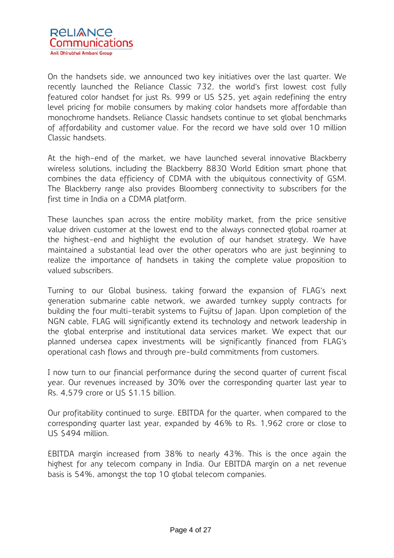

On the handsets side, we announced two key initiatives over the last quarter. We recently launched the Reliance Classic 732, the world's first lowest cost fully featured color handset for just Rs. 999 or US \$25, yet again redefining the entry level pricing for mobile consumers by making color handsets more affordable than monochrome handsets. Reliance Classic handsets continue to set global benchmarks of affordability and customer value. For the record we have sold over 10 million Classic handsets.

At the high-end of the market, we have launched several innovative Blackberry wireless solutions, including the Blackberry 8830 World Edition smart phone that combines the data efficiency of CDMA with the ubiquitous connectivity of GSM. The Blackberry range also provides Bloomberg connectivity to subscribers for the first time in India on a CDMA platform.

These launches span across the entire mobility market, from the price sensitive value driven customer at the lowest end to the always connected global roamer at the highest-end and highlight the evolution of our handset strategy. We have maintained a substantial lead over the other operators who are just beginning to realize the importance of handsets in taking the complete value proposition to valued subscribers.

Turning to our Global business, taking forward the expansion of FLAG's next generation submarine cable network, we awarded turnkey supply contracts for building the four multi-terabit systems to Fujitsu of Japan. Upon completion of the NGN cable, FLAG will significantly extend its technology and network leadership in the global enterprise and institutional data services market. We expect that our planned undersea capex investments will be significantly financed from FLAG's operational cash flows and through pre-build commitments from customers.

I now turn to our financial performance during the second quarter of current fiscal year. Our revenues increased by 30% over the corresponding quarter last year to Rs. 4,579 crore or US \$1.15 billion.

Our profitability continued to surge. EBITDA for the quarter, when compared to the corresponding quarter last year, expanded by 46% to Rs. 1,962 crore or close to US \$494 million.

EBITDA margin increased from 38% to nearly 43%. This is the once again the highest for any telecom company in India. Our EBITDA margin on a net revenue basis is 54%, amongst the top 10 global telecom companies.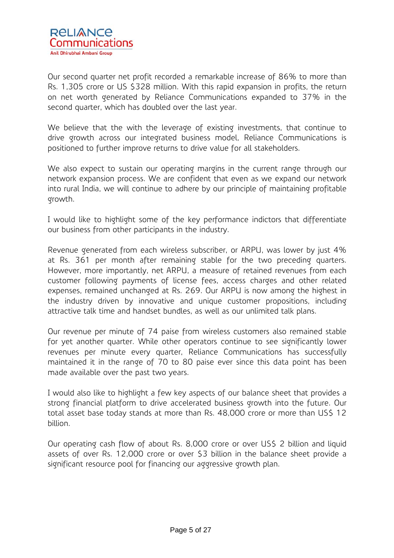Our second quarter net profit recorded a remarkable increase of 86% to more than Rs. 1,305 crore or US \$328 million. With this rapid expansion in profits, the return on net worth generated by Reliance Communications expanded to 37% in the second quarter, which has doubled over the last year.

We believe that the with the leverage of existing investments, that continue to drive growth across our integrated business model, Reliance Communications is positioned to further improve returns to drive value for all stakeholders.

We also expect to sustain our operating margins in the current range through our network expansion process. We are confident that even as we expand our network into rural India, we will continue to adhere by our principle of maintaining profitable growth.

I would like to highlight some of the key performance indictors that differentiate our business from other participants in the industry.

Revenue generated from each wireless subscriber, or ARPU, was lower by just 4% at Rs. 361 per month after remaining stable for the two preceding quarters. However, more importantly, net ARPU, a measure of retained revenues from each customer following payments of license fees, access charges and other related expenses, remained unchanged at Rs. 269. Our ARPU is now among the highest in the industry driven by innovative and unique customer propositions, including attractive talk time and handset bundles, as well as our unlimited talk plans.

Our revenue per minute of 74 paise from wireless customers also remained stable for yet another quarter. While other operators continue to see significantly lower revenues per minute every quarter, Reliance Communications has successfully maintained it in the range of 70 to 80 paise ever since this data point has been made available over the past two years.

I would also like to highlight a few key aspects of our balance sheet that provides a strong financial platform to drive accelerated business growth into the future. Our total asset base today stands at more than Rs. 48,000 crore or more than US\$ 12 billion.

Our operating cash flow of about Rs. 8,000 crore or over US\$ 2 billion and liquid assets of over Rs. 12,000 crore or over \$3 billion in the balance sheet provide a significant resource pool for financing our aggressive growth plan.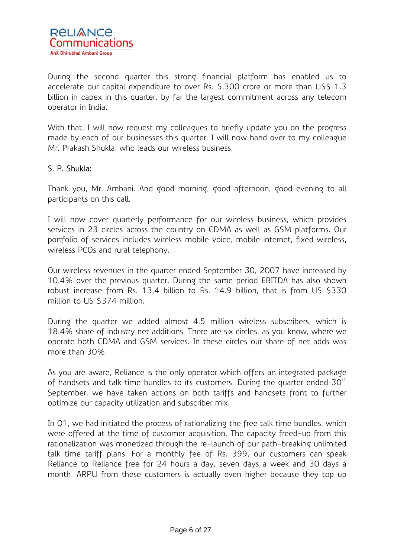

During the second quarter this strong financial platform has enabled us to accelerate our capital expenditure to over Rs. 5,300 crore or more than US\$ 1.3 billion in capex in this quarter, by far the largest commitment across any telecom operator in India.

With that, I will now request my colleagues to briefly update you on the progress made by each of our businesses this quarter. I will now hand over to my colleague Mr. Prakash Shukla, who leads our wireless business.

### S. P. Shukla:

Thank you, Mr. Ambani. And good morning, good afternoon, good evening to all participants on this call.

I will now cover quarterly performance for our wireless business, which provides services in 23 circles across the country on CDMA as well as GSM platforms. Our portfolio of services includes wireless mobile voice, mobile internet, fixed wireless, wireless PCOs and rural telephony.

Our wireless revenues in the quarter ended September 30, 2007 have increased by 10.4% over the previous quarter. During the same period EBITDA has also shown robust increase from Rs. 13.4 billion to Rs. 14.9 billion, that is from US \$330 million to US \$374 million.

During the quarter we added almost 4.5 million wireless subscribers, which is 18.4% share of industry net additions. There are six circles, as you know, where we operate both CDMA and GSM services. In these circles our share of net adds was more than 30%.

As you are aware, Reliance is the only operator which offers an integrated package of handsets and talk time bundles to its customers. During the quarter ended  $30<sup>th</sup>$ September, we have taken actions on both tariffs and handsets front to further optimize our capacity utilization and subscriber mix.

In Q1, we had initiated the process of rationalizing the free talk time bundles, which were offered at the time of customer acquisition. The capacity freed-up from this rationalization was monetized through the re-launch of our path-breaking unlimited talk time tariff plans. For a monthly fee of Rs. 399, our customers can speak Reliance to Reliance free for 24 hours a day, seven days a week and 30 days a month. ARPU from these customers is actually even higher because they top up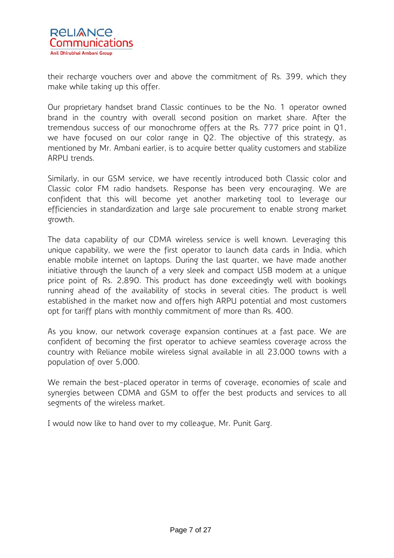

their recharge vouchers over and above the commitment of Rs. 399, which they make while taking up this offer.

Our proprietary handset brand Classic continues to be the No. 1 operator owned brand in the country with overall second position on market share. After the tremendous success of our monochrome offers at the Rs. 777 price point in Q1, we have focused on our color range in Q2. The objective of this strategy, as mentioned by Mr. Ambani earlier, is to acquire better quality customers and stabilize ARPU trends.

Similarly, in our GSM service, we have recently introduced both Classic color and Classic color FM radio handsets. Response has been very encouraging. We are confident that this will become yet another marketing tool to leverage our efficiencies in standardization and large sale procurement to enable strong market growth.

The data capability of our CDMA wireless service is well known. Leveraging this unique capability, we were the first operator to launch data cards in India, which enable mobile internet on laptops. During the last quarter, we have made another initiative through the launch of a very sleek and compact USB modem at a unique price point of Rs. 2,890. This product has done exceedingly well with bookings running ahead of the availability of stocks in several cities. The product is well established in the market now and offers high ARPU potential and most customers opt for tariff plans with monthly commitment of more than Rs. 400.

As you know, our network coverage expansion continues at a fast pace. We are confident of becoming the first operator to achieve seamless coverage across the country with Reliance mobile wireless signal available in all 23,000 towns with a population of over 5,000.

We remain the best-placed operator in terms of coverage, economies of scale and synergies between CDMA and GSM to offer the best products and services to all segments of the wireless market.

I would now like to hand over to my colleague, Mr. Punit Garg.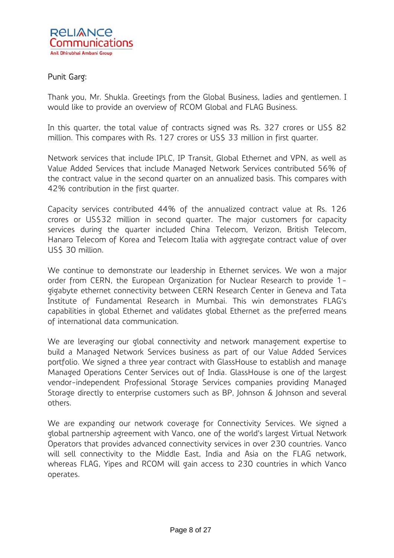## Punit Garg:

Thank you, Mr. Shukla. Greetings from the Global Business, ladies and gentlemen. I would like to provide an overview of RCOM Global and FLAG Business.

In this quarter, the total value of contracts signed was Rs. 327 crores or US\$ 82 million. This compares with Rs. 127 crores or US\$ 33 million in first quarter.

Network services that include IPLC, IP Transit, Global Ethernet and VPN, as well as Value Added Services that include Managed Network Services contributed 56% of the contract value in the second quarter on an annualized basis. This compares with 42% contribution in the first quarter.

Capacity services contributed 44% of the annualized contract value at Rs. 126 crores or US\$32 million in second quarter. The major customers for capacity services during the quarter included China Telecom, Verizon, British Telecom, Hanaro Telecom of Korea and Telecom Italia with aggregate contract value of over US\$ 30 million.

We continue to demonstrate our leadership in Ethernet services. We won a major order from CERN, the European Organization for Nuclear Research to provide 1 gigabyte ethernet connectivity between CERN Research Center in Geneva and Tata Institute of Fundamental Research in Mumbai. This win demonstrates FLAG's capabilities in global Ethernet and validates global Ethernet as the preferred means of international data communication.

We are leveraging our global connectivity and network management expertise to build a Managed Network Services business as part of our Value Added Services portfolio. We signed a three year contract with GlassHouse to establish and manage Managed Operations Center Services out of India. GlassHouse is one of the largest vendor-independent Professional Storage Services companies providing Managed Storage directly to enterprise customers such as BP, Johnson & Johnson and several others.

We are expanding our network coverage for Connectivity Services. We signed a global partnership agreement with Vanco, one of the world's largest Virtual Network Operators that provides advanced connectivity services in over 230 countries. Vanco will sell connectivity to the Middle East, India and Asia on the FLAG network, whereas FLAG, Yipes and RCOM will gain access to 230 countries in which Vanco operates.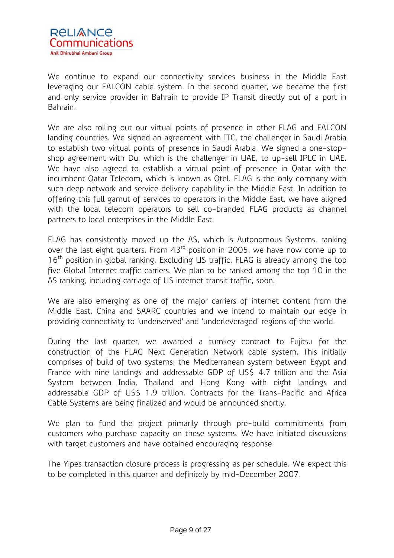

We continue to expand our connectivity services business in the Middle East leveraging our FALCON cable system. In the second quarter, we became the first and only service provider in Bahrain to provide IP Transit directly out of a port in Bahrain.

We are also rolling out our virtual points of presence in other FLAG and FALCON landing countries. We signed an agreement with ITC, the challenger in Saudi Arabia to establish two virtual points of presence in Saudi Arabia. We signed a one-stopshop agreement with Du, which is the challenger in UAE, to up-sell IPLC in UAE. We have also agreed to establish a virtual point of presence in Qatar with the incumbent Qatar Telecom, which is known as Qtel. FLAG is the only company with such deep network and service delivery capability in the Middle East. In addition to offering this full gamut of services to operators in the Middle East, we have aligned with the local telecom operators to sell co-branded FLAG products as channel partners to local enterprises in the Middle East.

FLAG has consistently moved up the AS, which is Autonomous Systems, ranking over the last eight quarters. From 43<sup>rd</sup> position in 2005, we have now come up to  $16<sup>th</sup>$  position in global ranking. Excluding US traffic, FLAG is already among the top five Global Internet traffic carriers. We plan to be ranked among the top 10 in the AS ranking, including carriage of US internet transit traffic, soon.

We are also emerging as one of the major carriers of internet content from the Middle East, China and SAARC countries and we intend to maintain our edge in providing connectivity to 'underserved' and 'underleveraged' regions of the world.

During the last quarter, we awarded a turnkey contract to Fujitsu for the construction of the FLAG Next Generation Network cable system. This initially comprises of build of two systems: the Mediterranean system between Egypt and France with nine landings and addressable GDP of US\$ 4.7 trillion and the Asia System between India, Thailand and Hong Kong with eight landings and addressable GDP of US\$ 1.9 trillion. Contracts for the Trans-Pacific and Africa Cable Systems are being finalized and would be announced shortly.

We plan to fund the project primarily through pre-build commitments from customers who purchase capacity on these systems. We have initiated discussions with target customers and have obtained encouraging response.

The Yipes transaction closure process is progressing as per schedule. We expect this to be completed in this quarter and definitely by mid-December 2007.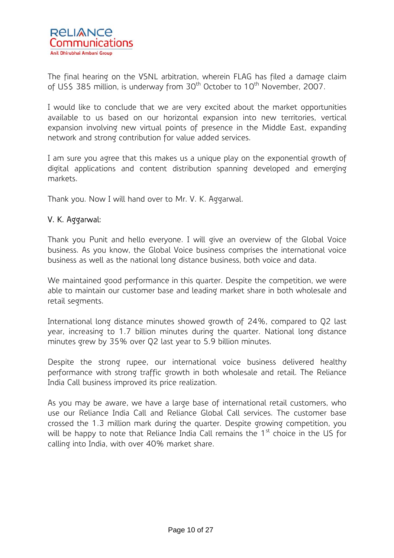

The final hearing on the VSNL arbitration, wherein FLAG has filed a damage claim of US\$ 385 million, is underway from 30<sup>th</sup> October to 10<sup>th</sup> November, 2007.

I would like to conclude that we are very excited about the market opportunities available to us based on our horizontal expansion into new territories, vertical expansion involving new virtual points of presence in the Middle East, expanding network and strong contribution for value added services.

I am sure you agree that this makes us a unique play on the exponential growth of digital applications and content distribution spanning developed and emerging markets.

Thank you. Now I will hand over to Mr. V. K. Aggarwal.

## V. K. Aggarwal:

Thank you Punit and hello everyone. I will give an overview of the Global Voice business. As you know, the Global Voice business comprises the international voice business as well as the national long distance business, both voice and data.

We maintained good performance in this quarter. Despite the competition, we were able to maintain our customer base and leading market share in both wholesale and retail segments.

International long distance minutes showed growth of 24%, compared to Q2 last year, increasing to 1.7 billion minutes during the quarter. National long distance minutes grew by 35% over Q2 last year to 5.9 billion minutes.

Despite the strong rupee, our international voice business delivered healthy performance with strong traffic growth in both wholesale and retail. The Reliance India Call business improved its price realization.

As you may be aware, we have a large base of international retail customers, who use our Reliance India Call and Reliance Global Call services. The customer base crossed the 1.3 million mark during the quarter. Despite growing competition, you will be happy to note that Reliance India Call remains the  $1<sup>st</sup>$  choice in the US for calling into India, with over 40% market share.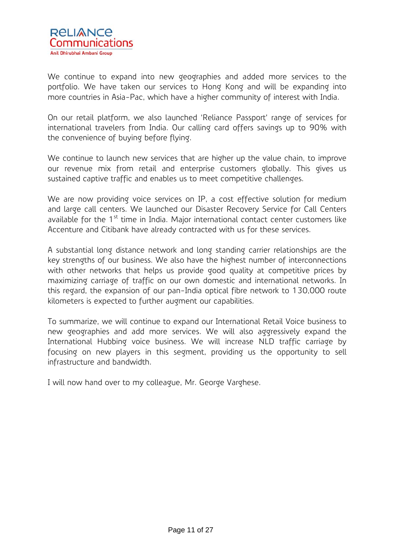

We continue to expand into new geographies and added more services to the portfolio. We have taken our services to Hong Kong and will be expanding into more countries in Asia-Pac, which have a higher community of interest with India.

On our retail platform, we also launched 'Reliance Passport' range of services for international travelers from India. Our calling card offers savings up to 90% with the convenience of buying before flying.

We continue to launch new services that are higher up the value chain, to improve our revenue mix from retail and enterprise customers globally. This gives us sustained captive traffic and enables us to meet competitive challenges.

We are now providing voice services on IP, a cost effective solution for medium and large call centers. We launched our Disaster Recovery Service for Call Centers available for the  $1<sup>st</sup>$  time in India. Major international contact center customers like Accenture and Citibank have already contracted with us for these services.

A substantial long distance network and long standing carrier relationships are the key strengths of our business. We also have the highest number of interconnections with other networks that helps us provide good quality at competitive prices by maximizing carriage of traffic on our own domestic and international networks. In this regard, the expansion of our pan-India optical fibre network to 130,000 route kilometers is expected to further augment our capabilities.

To summarize, we will continue to expand our International Retail Voice business to new geographies and add more services. We will also aggressively expand the International Hubbing voice business. We will increase NLD traffic carriage by focusing on new players in this segment, providing us the opportunity to sell infrastructure and bandwidth.

I will now hand over to my colleague, Mr. George Varghese.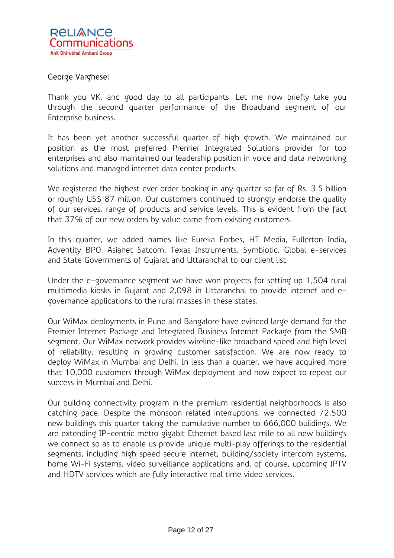

## George Varghese:

Thank you VK, and good day to all participants. Let me now briefly take you through the second quarter performance of the Broadband segment of our Enterprise business.

It has been yet another successful quarter of high growth. We maintained our position as the most preferred Premier Integrated Solutions provider for top enterprises and also maintained our leadership position in voice and data networking solutions and managed internet data center products.

We registered the highest ever order booking in any quarter so far of Rs. 3.5 billion or roughly US\$ 87 million. Our customers continued to strongly endorse the quality of our services, range of products and service levels. This is evident from the fact that 37% of our new orders by value came from existing customers.

In this quarter, we added names like Eureka Forbes, HT Media, Fullerton India, Adventity BPO, Asianet Satcom, Texas Instruments, Symbiotic, Global e-services and State Governments of Gujarat and Uttaranchal to our client list.

Under the e-governance segment we have won projects for setting up 1,504 rural multimedia kiosks in Gujarat and 2,098 in Uttaranchal to provide internet and egovernance applications to the rural masses in these states.

Our WiMax deployments in Pune and Bangalore have evinced large demand for the Premier Internet Package and Integrated Business Internet Package from the SMB segment. Our WiMax network provides wireline-like broadband speed and high level of reliability, resulting in growing customer satisfaction. We are now ready to deploy WiMax in Mumbai and Delhi. In less than a quarter, we have acquired more that 10,000 customers through WiMax deployment and now expect to repeat our success in Mumbai and Delhi.

Our building connectivity program in the premium residential neighborhoods is also catching pace. Despite the monsoon related interruptions, we connected 72,500 new buildings this quarter taking the cumulative number to 666,000 buildings. We are extending IP-centric metro gigabit Ethernet based last mile to all new buildings we connect so as to enable us provide unique multi-play offerings to the residential segments, including high speed secure internet, building/society intercom systems, home Wi-Fi systems, video surveillance applications and, of course, upcoming IPTV and HDTV services which are fully interactive real time video services.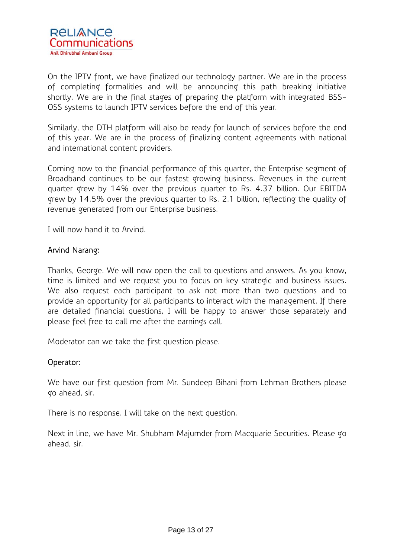

On the IPTV front, we have finalized our technology partner. We are in the process of completing formalities and will be announcing this path breaking initiative shortly. We are in the final stages of preparing the platform with integrated BSS-OSS systems to launch IPTV services before the end of this year.

Similarly, the DTH platform will also be ready for launch of services before the end of this year. We are in the process of finalizing content agreements with national and international content providers.

Coming now to the financial performance of this quarter, the Enterprise segment of Broadband continues to be our fastest growing business. Revenues in the current quarter grew by 14% over the previous quarter to Rs. 4.37 billion. Our EBITDA grew by 14.5% over the previous quarter to Rs. 2.1 billion, reflecting the quality of revenue generated from our Enterprise business.

I will now hand it to Arvind.

### Arvind Narang:

Thanks, George. We will now open the call to questions and answers. As you know, time is limited and we request you to focus on key strategic and business issues. We also request each participant to ask not more than two questions and to provide an opportunity for all participants to interact with the management. If there are detailed financial questions, I will be happy to answer those separately and please feel free to call me after the earnings call.

Moderator can we take the first question please.

#### Operator:

We have our first question from Mr. Sundeep Bihani from Lehman Brothers please go ahead, sir.

There is no response. I will take on the next question.

Next in line, we have Mr. Shubham Majumder from Macquarie Securities. Please go ahead, sir.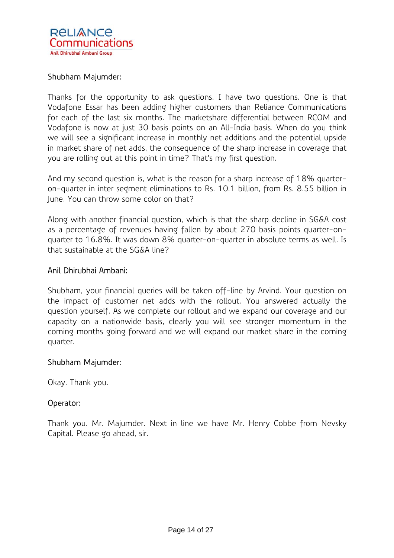

### Shubham Majumder:

Thanks for the opportunity to ask questions. I have two questions. One is that Vodafone Essar has been adding higher customers than Reliance Communications for each of the last six months. The marketshare differential between RCOM and Vodafone is now at just 30 basis points on an All-India basis. When do you think we will see a significant increase in monthly net additions and the potential upside in market share of net adds, the consequence of the sharp increase in coverage that you are rolling out at this point in time? That's my first question.

And my second question is, what is the reason for a sharp increase of 18% quarteron-quarter in inter segment eliminations to Rs. 10.1 billion, from Rs. 8.55 billion in June. You can throw some color on that?

Along with another financial question, which is that the sharp decline in SG&A cost as a percentage of revenues having fallen by about 270 basis points quarter-onquarter to 16.8%. It was down 8% quarter-on-quarter in absolute terms as well. Is that sustainable at the SG&A line?

#### Anil Dhirubhai Ambani:

Shubham, your financial queries will be taken off-line by Arvind. Your question on the impact of customer net adds with the rollout. You answered actually the question yourself. As we complete our rollout and we expand our coverage and our capacity on a nationwide basis, clearly you will see stronger momentum in the coming months going forward and we will expand our market share in the coming quarter.

#### Shubham Majumder:

Okay. Thank you.

#### Operator:

Thank you. Mr. Majumder. Next in line we have Mr. Henry Cobbe from Nevsky Capital. Please go ahead, sir.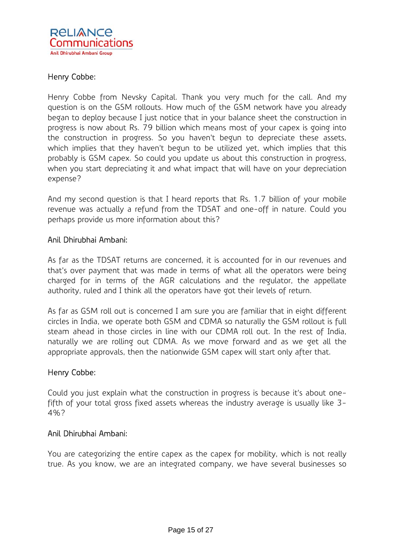

## Henry Cobbe:

Henry Cobbe from Nevsky Capital. Thank you very much for the call. And my question is on the GSM rollouts. How much of the GSM network have you already began to deploy because I just notice that in your balance sheet the construction in progress is now about Rs. 79 billion which means most of your capex is going into the construction in progress. So you haven't begun to depreciate these assets, which implies that they haven't begun to be utilized yet, which implies that this probably is GSM capex. So could you update us about this construction in progress, when you start depreciating it and what impact that will have on your depreciation expense?

And my second question is that I heard reports that Rs. 1.7 billion of your mobile revenue was actually a refund from the TDSAT and one-off in nature. Could you perhaps provide us more information about this?

### Anil Dhirubhai Ambani:

As far as the TDSAT returns are concerned, it is accounted for in our revenues and that's over payment that was made in terms of what all the operators were being charged for in terms of the AGR calculations and the regulator, the appellate authority, ruled and I think all the operators have got their levels of return.

As far as GSM roll out is concerned I am sure you are familiar that in eight different circles in India, we operate both GSM and CDMA so naturally the GSM rollout is full steam ahead in those circles in line with our CDMA roll out. In the rest of India, naturally we are rolling out CDMA. As we move forward and as we get all the appropriate approvals, then the nationwide GSM capex will start only after that.

#### Henry Cobbe:

Could you just explain what the construction in progress is because it's about onefifth of your total gross fixed assets whereas the industry average is usually like 3- 4%?

#### Anil Dhirubhai Ambani:

You are categorizing the entire capex as the capex for mobility, which is not really true. As you know, we are an integrated company, we have several businesses so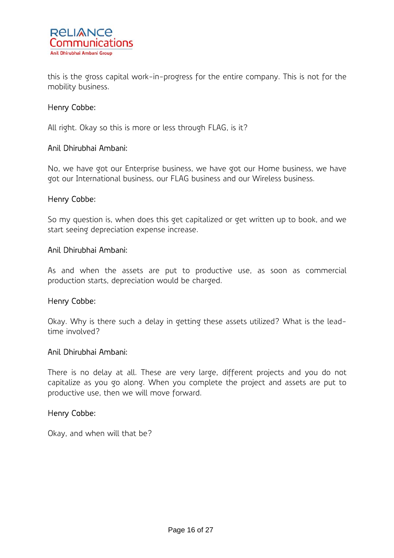

this is the gross capital work-in-progress for the entire company. This is not for the mobility business.

### Henry Cobbe:

All right. Okay so this is more or less through FLAG, is it?

#### Anil Dhirubhai Ambani:

No, we have got our Enterprise business, we have got our Home business, we have got our International business, our FLAG business and our Wireless business.

#### Henry Cobbe:

So my question is, when does this get capitalized or get written up to book, and we start seeing depreciation expense increase.

#### Anil Dhirubhai Ambani:

As and when the assets are put to productive use, as soon as commercial production starts, depreciation would be charged.

#### Henry Cobbe:

Okay. Why is there such a delay in getting these assets utilized? What is the leadtime involved?

#### Anil Dhirubhai Ambani:

There is no delay at all. These are very large, different projects and you do not capitalize as you go along. When you complete the project and assets are put to productive use, then we will move forward.

#### Henry Cobbe:

Okay, and when will that be?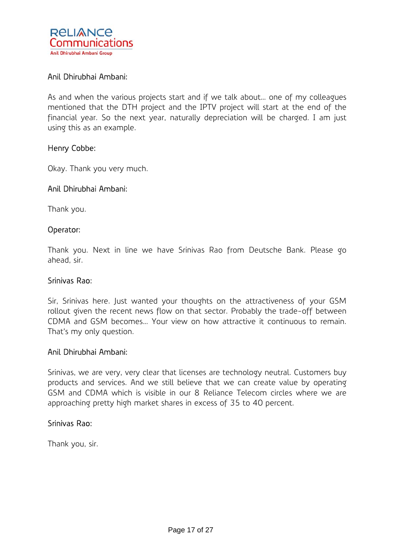

## Anil Dhirubhai Ambani:

As and when the various projects start and if we talk about… one of my colleagues mentioned that the DTH project and the IPTV project will start at the end of the financial year. So the next year, naturally depreciation will be charged. I am just using this as an example.

#### Henry Cobbe:

Okay. Thank you very much.

#### Anil Dhirubhai Ambani:

Thank you.

#### Operator:

Thank you. Next in line we have Srinivas Rao from Deutsche Bank. Please go ahead, sir.

#### Srinivas Rao:

Sir, Srinivas here. Just wanted your thoughts on the attractiveness of your GSM rollout given the recent news flow on that sector. Probably the trade-off between CDMA and GSM becomes… Your view on how attractive it continuous to remain. That's my only question.

#### Anil Dhirubhai Ambani:

Srinivas, we are very, very clear that licenses are technology neutral. Customers buy products and services. And we still believe that we can create value by operating GSM and CDMA which is visible in our 8 Reliance Telecom circles where we are approaching pretty high market shares in excess of 35 to 40 percent.

#### Srinivas Rao:

Thank you, sir.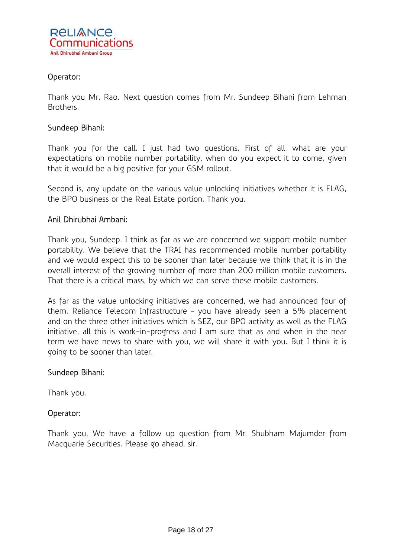

## Operator:

Thank you Mr. Rao. Next question comes from Mr. Sundeep Bihani from Lehman Brothers.

### Sundeep Bihani:

Thank you for the call. I just had two questions. First of all, what are your expectations on mobile number portability, when do you expect it to come, given that it would be a big positive for your GSM rollout.

Second is, any update on the various value unlocking initiatives whether it is FLAG, the BPO business or the Real Estate portion. Thank you.

### Anil Dhirubhai Ambani:

Thank you, Sundeep. I think as far as we are concerned we support mobile number portability. We believe that the TRAI has recommended mobile number portability and we would expect this to be sooner than later because we think that it is in the overall interest of the growing number of more than 200 million mobile customers. That there is a critical mass, by which we can serve these mobile customers.

As far as the value unlocking initiatives are concerned, we had announced four of them. Reliance Telecom Infrastructure – you have already seen a 5% placement and on the three other initiatives which is SEZ, our BPO activity as well as the FLAG initiative, all this is work-in-progress and I am sure that as and when in the near term we have news to share with you, we will share it with you. But I think it is going to be sooner than later.

#### Sundeep Bihani:

Thank you.

## Operator:

Thank you, We have a follow up question from Mr. Shubham Majumder from Macquarie Securities. Please go ahead, sir.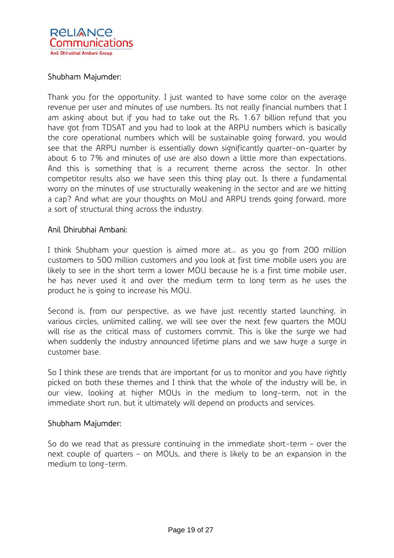## **RELIANCE** Communications Anil Dhirubhai Ambani Group

## Shubham Majumder:

Thank you for the opportunity. I just wanted to have some color on the average revenue per user and minutes of use numbers. Its not really financial numbers that I am asking about but if you had to take out the Rs. 1.67 billion refund that you have got from TDSAT and you had to look at the ARPU numbers which is basically the core operational numbers which will be sustainable going forward, you would see that the ARPU number is essentially down significantly quarter-on-quarter by about 6 to 7% and minutes of use are also down a little more than expectations. And this is something that is a recurrent theme across the sector. In other competitor results also we have seen this thing play out. Is there a fundamental worry on the minutes of use structurally weakening in the sector and are we hitting a cap? And what are your thoughts on MoU and ARPU trends going forward, more a sort of structural thing across the industry.

### Anil Dhirubhai Ambani:

I think Shubham your question is aimed more at… as you go from 200 million customers to 500 million customers and you look at first time mobile users you are likely to see in the short term a lower MOU because he is a first time mobile user, he has never used it and over the medium term to long term as he uses the product he is going to increase his MOU.

Second is, from our perspective, as we have just recently started launching, in various circles, unlimited calling, we will see over the next few quarters the MOU will rise as the critical mass of customers commit. This is like the surge we had when suddenly the industry announced lifetime plans and we saw huge a surge in customer base.

So I think these are trends that are important for us to monitor and you have rightly picked on both these themes and I think that the whole of the industry will be, in our view, looking at higher MOUs in the medium to long-term, not in the immediate short run, but it ultimately will depend on products and services.

#### Shubham Majumder:

So do we read that as pressure continuing in the immediate short-term – over the next couple of quarters – on MOUs, and there is likely to be an expansion in the medium to long-term.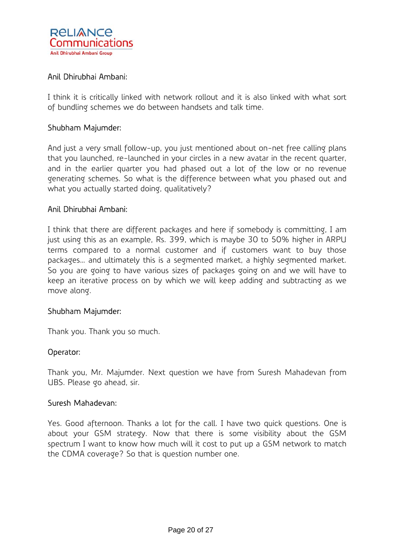

## Anil Dhirubhai Ambani:

I think it is critically linked with network rollout and it is also linked with what sort of bundling schemes we do between handsets and talk time.

### Shubham Majumder:

And just a very small follow-up, you just mentioned about on-net free calling plans that you launched, re-launched in your circles in a new avatar in the recent quarter, and in the earlier quarter you had phased out a lot of the low or no revenue generating schemes. So what is the difference between what you phased out and what you actually started doing, qualitatively?

### Anil Dhirubhai Ambani:

I think that there are different packages and here if somebody is committing, I am just using this as an example, Rs. 399, which is maybe 30 to 50% higher in ARPU terms compared to a normal customer and if customers want to buy those packages… and ultimately this is a segmented market, a highly segmented market. So you are going to have various sizes of packages going on and we will have to keep an iterative process on by which we will keep adding and subtracting as we move along.

#### Shubham Majumder:

Thank you. Thank you so much.

#### Operator:

Thank you, Mr. Majumder. Next question we have from Suresh Mahadevan from UBS. Please go ahead, sir.

#### Suresh Mahadevan:

Yes. Good afternoon. Thanks a lot for the call. I have two quick questions. One is about your GSM strategy. Now that there is some visibility about the GSM spectrum I want to know how much will it cost to put up a GSM network to match the CDMA coverage? So that is question number one.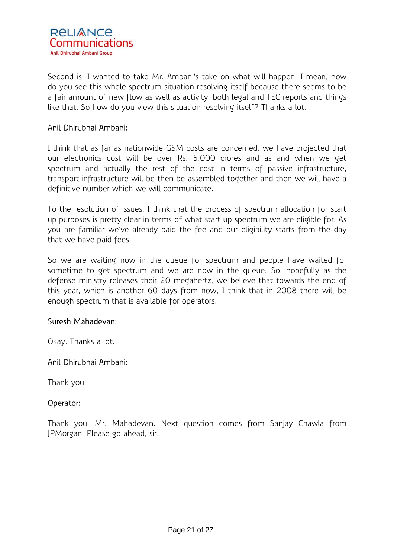

Second is, I wanted to take Mr. Ambani's take on what will happen, I mean, how do you see this whole spectrum situation resolving itself because there seems to be a fair amount of new flow as well as activity, both legal and TEC reports and things like that. So how do you view this situation resolving itself? Thanks a lot.

### Anil Dhirubhai Ambani:

I think that as far as nationwide GSM costs are concerned, we have projected that our electronics cost will be over Rs. 5,000 crores and as and when we get spectrum and actually the rest of the cost in terms of passive infrastructure, transport infrastructure will be then be assembled together and then we will have a definitive number which we will communicate.

To the resolution of issues, I think that the process of spectrum allocation for start up purposes is pretty clear in terms of what start up spectrum we are eligible for. As you are familiar we've already paid the fee and our eligibility starts from the day that we have paid fees.

So we are waiting now in the queue for spectrum and people have waited for sometime to get spectrum and we are now in the queue. So, hopefully as the defense ministry releases their 20 megahertz, we believe that towards the end of this year, which is another 60 days from now, I think that in 2008 there will be enough spectrum that is available for operators.

#### Suresh Mahadevan:

Okay. Thanks a lot.

#### Anil Dhirubhai Ambani:

Thank you.

#### Operator:

Thank you, Mr. Mahadevan. Next question comes from Sanjay Chawla from JPMorgan. Please go ahead, sir.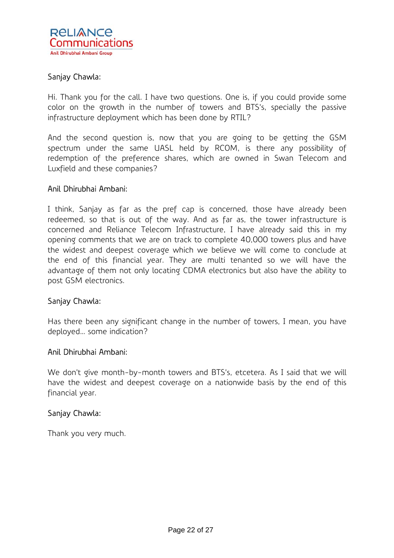

## Sanjay Chawla:

Hi. Thank you for the call. I have two questions. One is, if you could provide some color on the growth in the number of towers and BTS's, specially the passive infrastructure deployment which has been done by RTIL?

And the second question is, now that you are going to be getting the GSM spectrum under the same UASL held by RCOM, is there any possibility of redemption of the preference shares, which are owned in Swan Telecom and Luxfield and these companies?

### Anil Dhirubhai Ambani:

I think, Sanjay as far as the pref cap is concerned, those have already been redeemed, so that is out of the way. And as far as, the tower infrastructure is concerned and Reliance Telecom Infrastructure, I have already said this in my opening comments that we are on track to complete 40,000 towers plus and have the widest and deepest coverage which we believe we will come to conclude at the end of this financial year. They are multi tenanted so we will have the advantage of them not only locating CDMA electronics but also have the ability to post GSM electronics.

## Sanjay Chawla:

Has there been any significant change in the number of towers, I mean, you have deployed… some indication?

#### Anil Dhirubhai Ambani:

We don't give month-by-month towers and BTS's, etcetera. As I said that we will have the widest and deepest coverage on a nationwide basis by the end of this financial year.

#### Sanjay Chawla:

Thank you very much.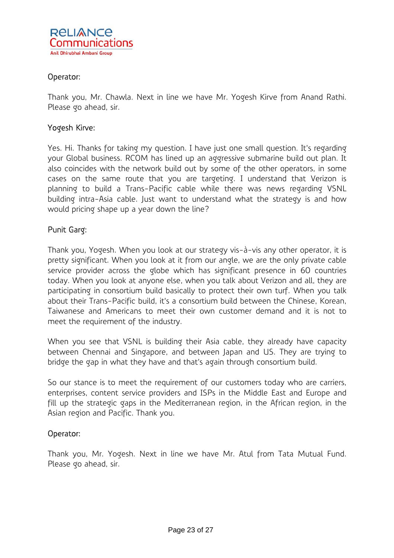

## Operator:

Thank you, Mr. Chawla. Next in line we have Mr. Yogesh Kirve from Anand Rathi. Please go ahead, sir.

### Yogesh Kirve:

Yes. Hi. Thanks for taking my question. I have just one small question. It's regarding your Global business. RCOM has lined up an aggressive submarine build out plan. It also coincides with the network build out by some of the other operators, in some cases on the same route that you are targeting. I understand that Verizon is planning to build a Trans-Pacific cable while there was news regarding VSNL building intra-Asia cable. Just want to understand what the strategy is and how would pricing shape up a year down the line?

### Punit Garg:

Thank you, Yogesh. When you look at our strategy vis-à-vis any other operator, it is pretty significant. When you look at it from our angle, we are the only private cable service provider across the globe which has significant presence in 60 countries today. When you look at anyone else, when you talk about Verizon and all, they are participating in consortium build basically to protect their own turf. When you talk about their Trans-Pacific build, it's a consortium build between the Chinese, Korean, Taiwanese and Americans to meet their own customer demand and it is not to meet the requirement of the industry.

When you see that VSNL is building their Asia cable, they already have capacity between Chennai and Singapore, and between Japan and US. They are trying to bridge the gap in what they have and that's again through consortium build.

So our stance is to meet the requirement of our customers today who are carriers, enterprises, content service providers and ISPs in the Middle East and Europe and fill up the strategic gaps in the Mediterranean region, in the African region, in the Asian region and Pacific. Thank you.

#### Operator:

Thank you, Mr. Yogesh. Next in line we have Mr. Atul from Tata Mutual Fund. Please go ahead, sir.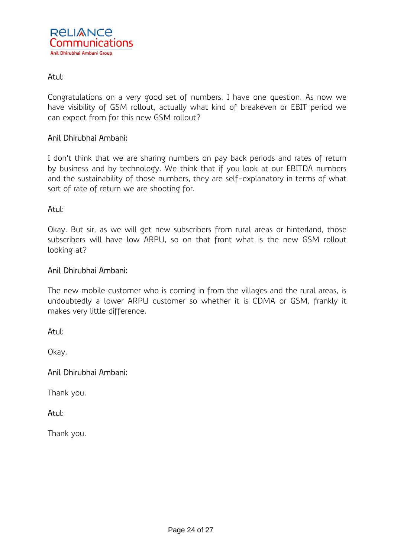

## Atul:

Congratulations on a very good set of numbers. I have one question. As now we have visibility of GSM rollout, actually what kind of breakeven or EBIT period we can expect from for this new GSM rollout?

### Anil Dhirubhai Ambani:

I don't think that we are sharing numbers on pay back periods and rates of return by business and by technology. We think that if you look at our EBITDA numbers and the sustainability of those numbers, they are self-explanatory in terms of what sort of rate of return we are shooting for.

#### Atul:

Okay. But sir, as we will get new subscribers from rural areas or hinterland, those subscribers will have low ARPU, so on that front what is the new GSM rollout looking at?

#### Anil Dhirubhai Ambani:

The new mobile customer who is coming in from the villages and the rural areas, is undoubtedly a lower ARPU customer so whether it is CDMA or GSM, frankly it makes very little difference.

#### Atul:

Okay.

## Anil Dhirubhai Ambani:

Thank you.

#### Atul:

Thank you.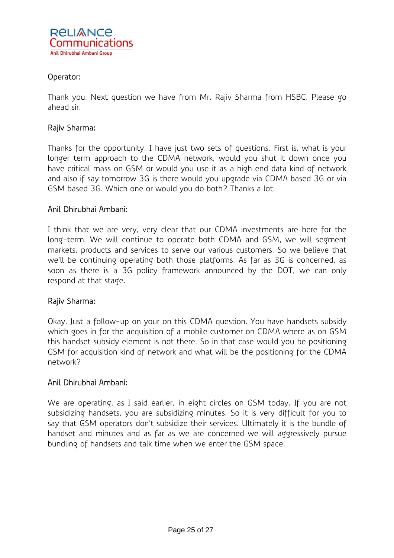

## Operator:

Thank you. Next question we have from Mr. Rajiv Sharma from HSBC. Please go ahead sir.

### Rajiv Sharma:

Thanks for the opportunity. I have just two sets of questions. First is, what is your longer term approach to the CDMA network, would you shut it down once you have critical mass on GSM or would you use it as a high end data kind of network and also if say tomorrow 3G is there would you upgrade via CDMA based 3G or via GSM based 3G. Which one or would you do both? Thanks a lot.

### Anil Dhirubhai Ambani:

I think that we are very, very clear that our CDMA investments are here for the long-term. We will continue to operate both CDMA and GSM, we will segment markets, products and services to serve our various customers. So we believe that we'll be continuing operating both those platforms. As far as 3G is concerned, as soon as there is a 3G policy framework announced by the DOT, we can only respond at that stage.

#### Rajiv Sharma:

Okay. Just a follow-up on your on this CDMA question. You have handsets subsidy which goes in for the acquisition of a mobile customer on CDMA where as on GSM this handset subsidy element is not there. So in that case would you be positioning GSM for acquisition kind of network and what will be the positioning for the CDMA network?

#### Anil Dhirubhai Ambani:

We are operating, as I said earlier, in eight circles on GSM today. If you are not subsidizing handsets, you are subsidizing minutes. So it is very difficult for you to say that GSM operators don't subsidize their services. Ultimately it is the bundle of handset and minutes and as far as we are concerned we will aggressively pursue bundling of handsets and talk time when we enter the GSM space.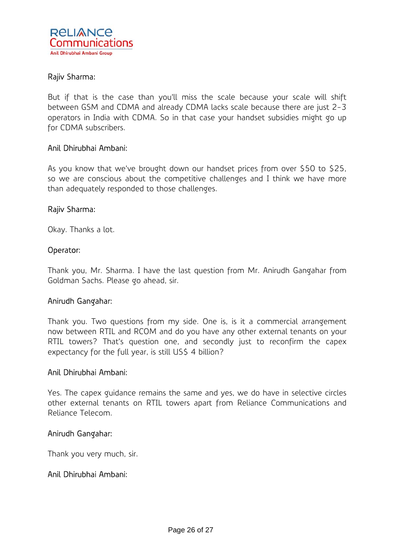

### Rajiv Sharma:

But if that is the case than you'll miss the scale because your scale will shift between GSM and CDMA and already CDMA lacks scale because there are just 2-3 operators in India with CDMA. So in that case your handset subsidies might go up for CDMA subscribers.

#### Anil Dhirubhai Ambani:

As you know that we've brought down our handset prices from over \$50 to \$25, so we are conscious about the competitive challenges and I think we have more than adequately responded to those challenges.

#### Rajiv Sharma:

Okay. Thanks a lot.

#### Operator:

Thank you, Mr. Sharma. I have the last question from Mr. Anirudh Gangahar from Goldman Sachs. Please go ahead, sir.

#### Anirudh Gangahar:

Thank you. Two questions from my side. One is, is it a commercial arrangement now between RTIL and RCOM and do you have any other external tenants on your RTIL towers? That's question one, and secondly just to reconfirm the capex expectancy for the full year, is still US\$ 4 billion?

#### Anil Dhirubhai Ambani:

Yes. The capex guidance remains the same and yes, we do have in selective circles other external tenants on RTIL towers apart from Reliance Communications and Reliance Telecom.

#### Anirudh Gangahar:

Thank you very much, sir.

#### Anil Dhirubhai Ambani: